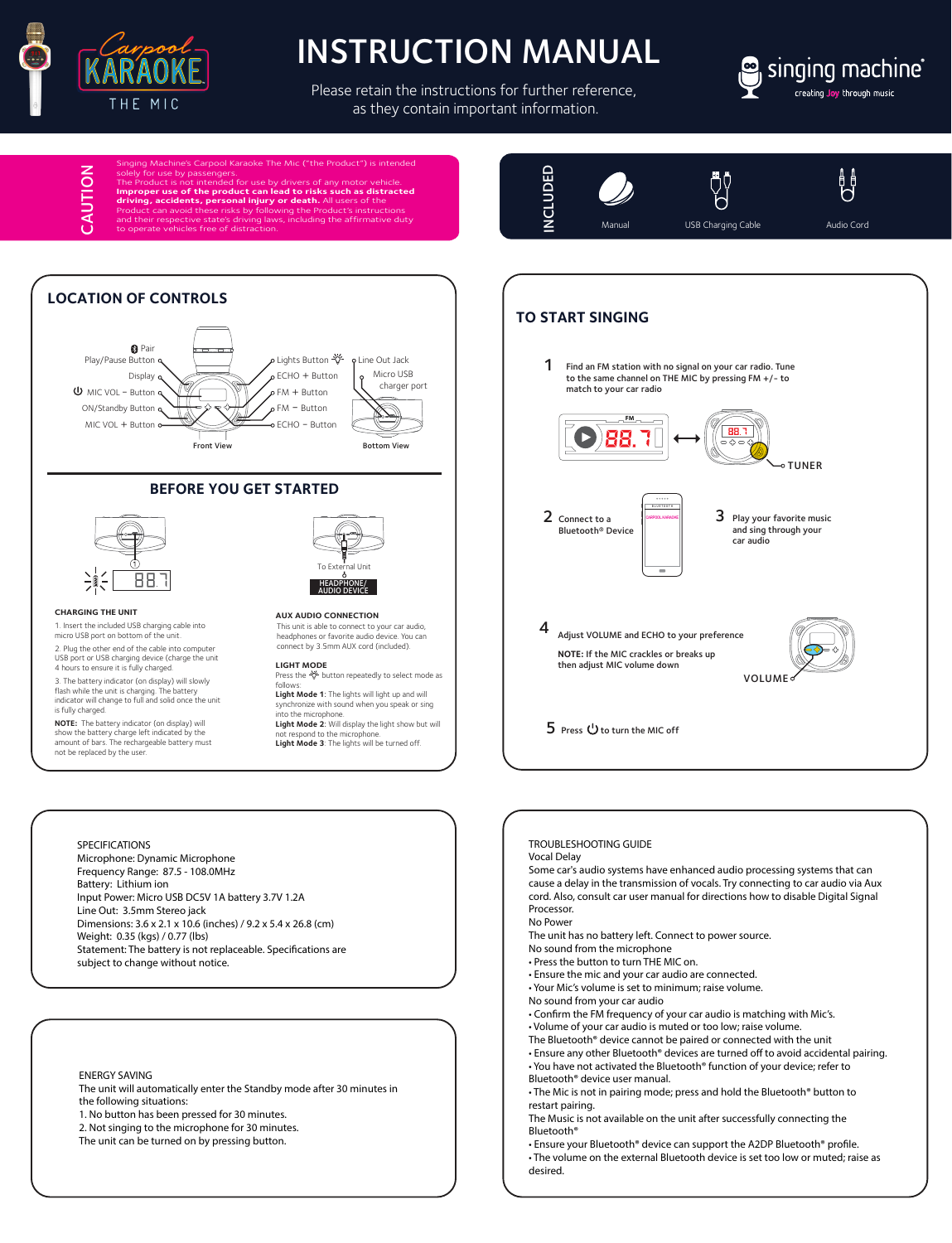

## INSTRUCTION MANUAL

Please retain the instructions for further reference, as they contain important information.



Carpool Karaoke The Mic ("the Product") is intended solely for use by passengers.<br>The Product is not intended for use by drivers of any motor vehicle.<br>Improper use of the product can lead to risks such as distracted<br>driving, accidents, personal injury or death. All users of ng laws, including the affirmative duty to operate vehicles free of distraction.



#### TROUBLESHOOTING GUIDE

Vocal Delay

Some car's audio systems have enhanced audio processing systems that can cause a delay in the transmission of vocals. Try connecting to car audio via Aux cord. Also, consult car user manual for directions how to disable Digital Signal Processor.

No Power

The unit has no battery left. Connect to power source.

- No sound from the microphone • Press the button to turn THE MIC on.
- Ensure the mic and your car audio are connected.
- Your Mic's volume is set to minimum; raise volume.
- No sound from your car audio
- Confirm the FM frequency of your car audio is matching with Mic's.
- Volume of your car audio is muted or too low; raise volume.
- The Bluetooth® device cannot be paired or connected with the unit
- Ensure any other Bluetooth® devices are turned off to avoid accidental pairing. • You have not activated the Bluetooth® function of your device; refer to
- Bluetooth® device user manual.
- The Mic is not in pairing mode; press and hold the Bluetooth® button to restart pairing.

The Music is not available on the unit after successfully connecting the Bluetooth®

• Ensure your Bluetooth® device can support the A2DP Bluetooth® profile.

• The volume on the external Bluetooth device is set too low or muted; raise as desired.

CAUTION CAUTION



# 88.7

To External Unit HEADPHONE/ AUDIO DEVICE

This unit is able to connect to your car audio, headphones or favorite audio device. You can connect by 3.5mm AUX cord (included).

Press the  $\forall$  button repeatedly to select mode as

**Light Mode 2**: Will display the light show but will not respond to the microphone. **Light Mode 3**: The lights will be turned off.

**Light Mode 1**: The lights will light up and will synchronize with sound when you speak or sing

**AUX AUDIO CONNECTION**

**LIGHT MODE**

into the microphone.

follows:

#### **CHARGING THE UNIT**

**CHANGING THE UNITE:**<br>1. Insert the included USB charging cable into micro USB port on bottom of the unit.

2. Plug the other end of the cable into computer USB port or USB charging device (charge the unit 4 hours to ensure it is fully charged.

3. The battery indicator (on display) will slowly flash while the unit is charging. The battery indicator will change to full and solid once the unit is fully charged.

**NOTE:** The battery indicator (on display) will show the battery charge left indicated by the amount of bars. The rechargeable battery must not be replaced by the user

#### SPECIFICATIONS

Microphone: Dynamic Microphone Frequency Range: 87.5 - 108.0MHz Battery: Lithium ion Input Power: Micro USB DC5V 1A battery 3.7V 1.2A Line Out: 3.5mm Stereo jack Dimensions: 3.6 x 2.1 x 10.6 (inches) / 9.2 x 5.4 x 26.8 (cm) Weight: 0.35 (kgs) / 0.77 (lbs) Statement: The battery is not replaceable. Specifications are subject to change without notice.

#### ENERGY SAVING

The unit will automatically enter the Standby mode after 30 minutes in the following situations:

1. No button has been pressed for 30 minutes.

2. Not singing to the microphone for 30 minutes.

The unit can be turned on by pressing button.